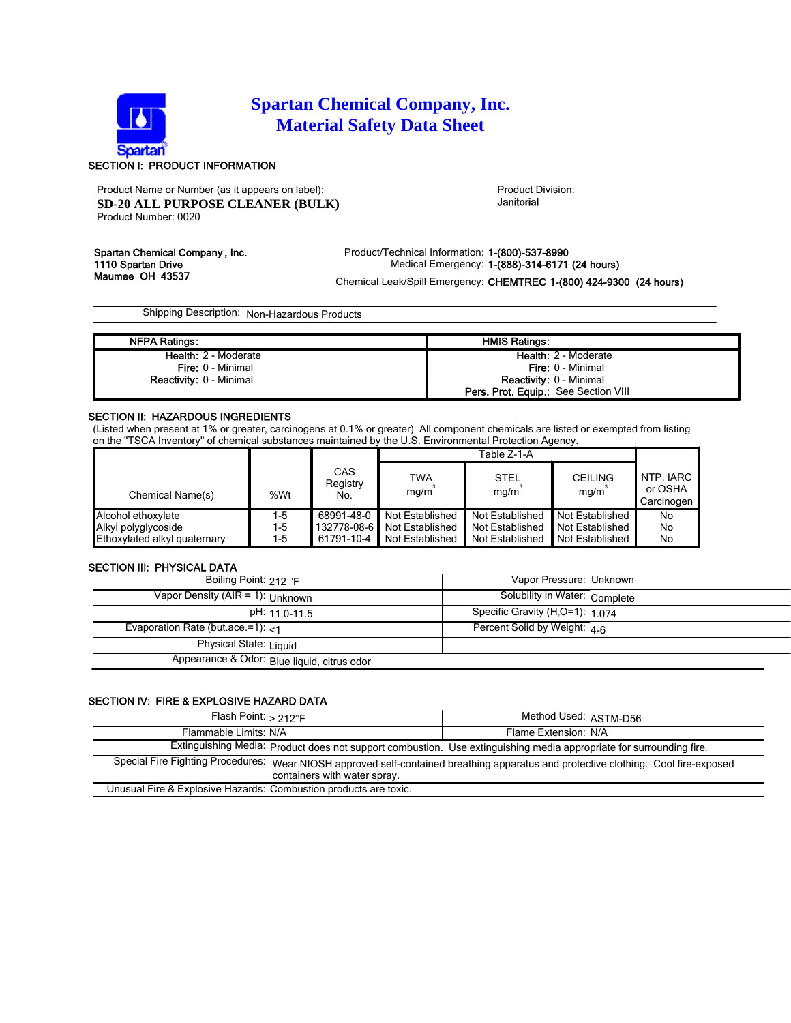

# **Spartan Chemical Company, Inc. Material Safety Data Sheet**

## Product Name or Number (as it appears on label): Product Division: Product Division: **SD-20 ALL PURPOSE CLEANER (BULK)** Product Number: 0020

Janitorial

Spartan Chemical Company, Inc. <br>Product/Technical Information: 1-(800)-537-8990<br>Medical Emergency: 1-(888)-314-6171 1110 Spartan Drive Medical Emergency: 1-(888)-314-6171 (24 hours)<br>Medical Emergency: 1-(888)-314-6171 (24 hours)<br>Maumee OH 43537 Chemical Leak/Spill Emergency: CHEMTREC 1-(800) 424-9300 (24 hours)

Shipping Description: Non-Hazardous Products

| <b>NFPA Ratings:</b>           | <b>HMIS Ratings:</b>                        |
|--------------------------------|---------------------------------------------|
| <b>Health: 2 - Moderate</b>    | <b>Health: 2 - Moderate</b>                 |
| <b>Fire: 0 - Minimal</b>       | <b>Fire:</b> 0 - Minimal                    |
| <b>Reactivity: 0 - Minimal</b> | <b>Reactivity: 0 - Minimal</b>              |
|                                | <b>Pers. Prot. Equip.:</b> See Section VIII |

## SECTION II: HAZARDOUS INGREDIENTS

(Listed when present at 1% or greater, carcinogens at 0.1% or greater) All component chemicals are listed or exempted from listing on the "TSCA Inventory" of chemical substances maintained by the U.S. Environmental Protection Agency.

|                              |       |                        | Table Z-1-A        |                        |                            |                                    |
|------------------------------|-------|------------------------|--------------------|------------------------|----------------------------|------------------------------------|
| Chemical Name(s)             | %Wt   | CAS<br>Registry<br>No. | <b>TWA</b><br>mq/m | <b>STEL</b><br>mg/m    | <b>CEILING</b><br>$mg/m^3$ | NTP, IARC<br>or OSHA<br>Carcinogen |
| Alcohol ethoxylate           | 1-5   | 68991-48-0             | Not Established    | Not Established        | Not Established            | No                                 |
| Alkyl polyglycoside          | $1-5$ | 132778-08-6            | Not Established    | <b>Not Established</b> | Not Established            | No                                 |
| Ethoxylated alkyl quaternary | $1-5$ | 61791-10-4             | Not Established    | <b>Not Established</b> | Not Established            | No                                 |

## SECTION III: PHYSICAL DATA

| Boiling Point: 212 °F                       | Vapor Pressure: Unknown             |
|---------------------------------------------|-------------------------------------|
| Vapor Density ( $AIR = 1$ ): Unknown        | Solubility in Water: Complete       |
| pH: 11.0-11.5                               | Specific Gravity $(H, O=1)$ : 1 074 |
| Evaporation Rate (but.ace.=1): $<$ 1        | Percent Solid by Weight: 4-6        |
| Physical State: Liquid                      |                                     |
| Appearance & Odor: Blue liquid, citrus odor |                                     |

# SECTION IV: FIRE & EXPLOSIVE HAZARD DATA

| Flash Point: $> 212^\circ F$                                                                                                        | Method Used: ASTM-D56 |
|-------------------------------------------------------------------------------------------------------------------------------------|-----------------------|
| Flammable Limits: N/A                                                                                                               | Flame Extension: N/A  |
| Extinguishing Media: Product does not support combustion. Use extinguishing media appropriate for surrounding fire.                 |                       |
| Special Fire Fighting Procedures: Wear NIOSH approved self-contained breathing apparatus and protective clothing. Cool fire-exposed |                       |
| containers with water spray.                                                                                                        |                       |
| Unusual Fire & Explosive Hazards: Combustion products are toxic.                                                                    |                       |